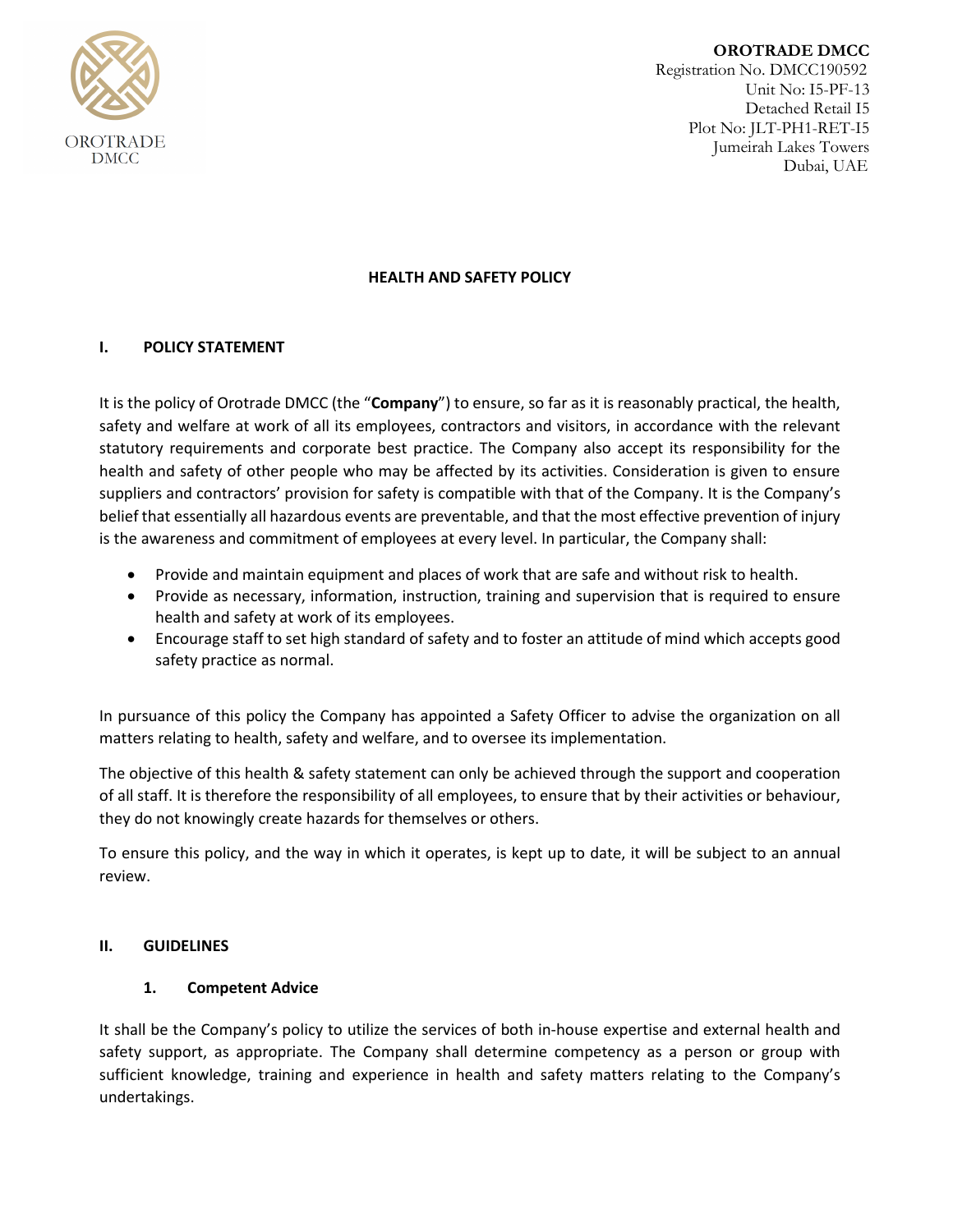

**OROTRADE DMCC** Registration No. DMCC190592 Unit No: I5-PF-13 Detached Retail I5 Plot No: JLT-PH1-RET-I5 Jumeirah Lakes Towers Dubai, UAE

### **HEALTH AND SAFETY POLICY**

### **I. POLICY STATEMENT**

It is the policy of Orotrade DMCC (the "**Company**") to ensure, so far as it is reasonably practical, the health, safety and welfare at work of all its employees, contractors and visitors, in accordance with the relevant statutory requirements and corporate best practice. The Company also accept its responsibility for the health and safety of other people who may be affected by its activities. Consideration is given to ensure suppliers and contractors' provision for safety is compatible with that of the Company. It is the Company's belief that essentially all hazardous events are preventable, and that the most effective prevention of injury is the awareness and commitment of employees at every level. In particular, the Company shall:

- Provide and maintain equipment and places of work that are safe and without risk to health.
- Provide as necessary, information, instruction, training and supervision that is required to ensure health and safety at work of its employees.
- Encourage staff to set high standard of safety and to foster an attitude of mind which accepts good safety practice as normal.

In pursuance of this policy the Company has appointed a Safety Officer to advise the organization on all matters relating to health, safety and welfare, and to oversee its implementation.

The objective of this health & safety statement can only be achieved through the support and cooperation of all staff. It is therefore the responsibility of all employees, to ensure that by their activities or behaviour, they do not knowingly create hazards for themselves or others.

To ensure this policy, and the way in which it operates, is kept up to date, it will be subject to an annual review.

#### **II. GUIDELINES**

#### **1. Competent Advice**

It shall be the Company's policy to utilize the services of both in-house expertise and external health and safety support, as appropriate. The Company shall determine competency as a person or group with sufficient knowledge, training and experience in health and safety matters relating to the Company's undertakings.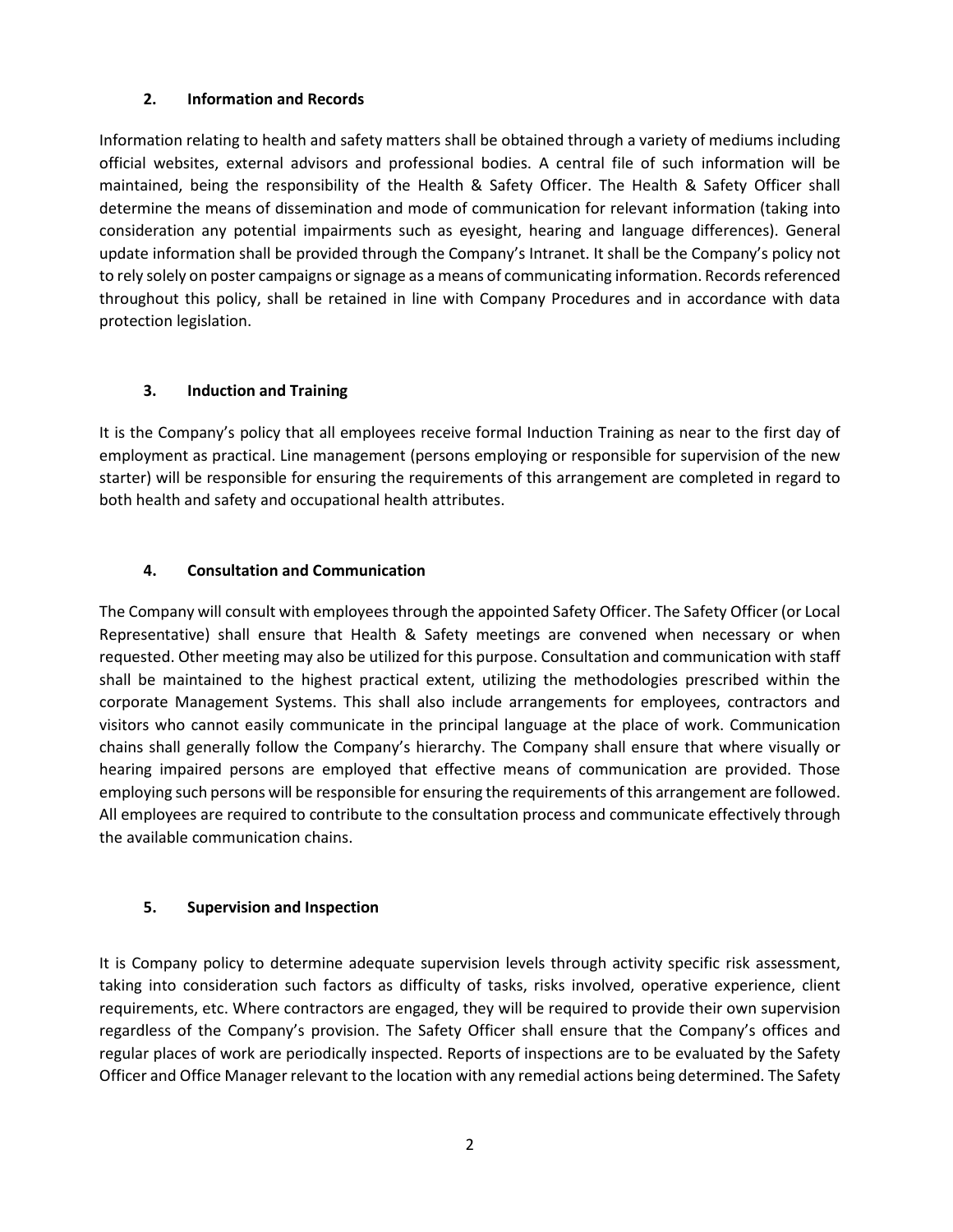### **2. Information and Records**

Information relating to health and safety matters shall be obtained through a variety of mediums including official websites, external advisors and professional bodies. A central file of such information will be maintained, being the responsibility of the Health & Safety Officer. The Health & Safety Officer shall determine the means of dissemination and mode of communication for relevant information (taking into consideration any potential impairments such as eyesight, hearing and language differences). General update information shall be provided through the Company's Intranet. It shall be the Company's policy not to rely solely on poster campaigns or signage as a means of communicating information. Records referenced throughout this policy, shall be retained in line with Company Procedures and in accordance with data protection legislation.

### **3. Induction and Training**

It is the Company's policy that all employees receive formal Induction Training as near to the first day of employment as practical. Line management (persons employing or responsible for supervision of the new starter) will be responsible for ensuring the requirements of this arrangement are completed in regard to both health and safety and occupational health attributes.

### **4. Consultation and Communication**

The Company will consult with employees through the appointed Safety Officer. The Safety Officer (or Local Representative) shall ensure that Health & Safety meetings are convened when necessary or when requested. Other meeting may also be utilized for this purpose. Consultation and communication with staff shall be maintained to the highest practical extent, utilizing the methodologies prescribed within the corporate Management Systems. This shall also include arrangements for employees, contractors and visitors who cannot easily communicate in the principal language at the place of work. Communication chains shall generally follow the Company's hierarchy. The Company shall ensure that where visually or hearing impaired persons are employed that effective means of communication are provided. Those employing such persons will be responsible for ensuring the requirements of this arrangement are followed. All employees are required to contribute to the consultation process and communicate effectively through the available communication chains.

## **5. Supervision and Inspection**

It is Company policy to determine adequate supervision levels through activity specific risk assessment, taking into consideration such factors as difficulty of tasks, risks involved, operative experience, client requirements, etc. Where contractors are engaged, they will be required to provide their own supervision regardless of the Company's provision. The Safety Officer shall ensure that the Company's offices and regular places of work are periodically inspected. Reports of inspections are to be evaluated by the Safety Officer and Office Manager relevant to the location with any remedial actions being determined. The Safety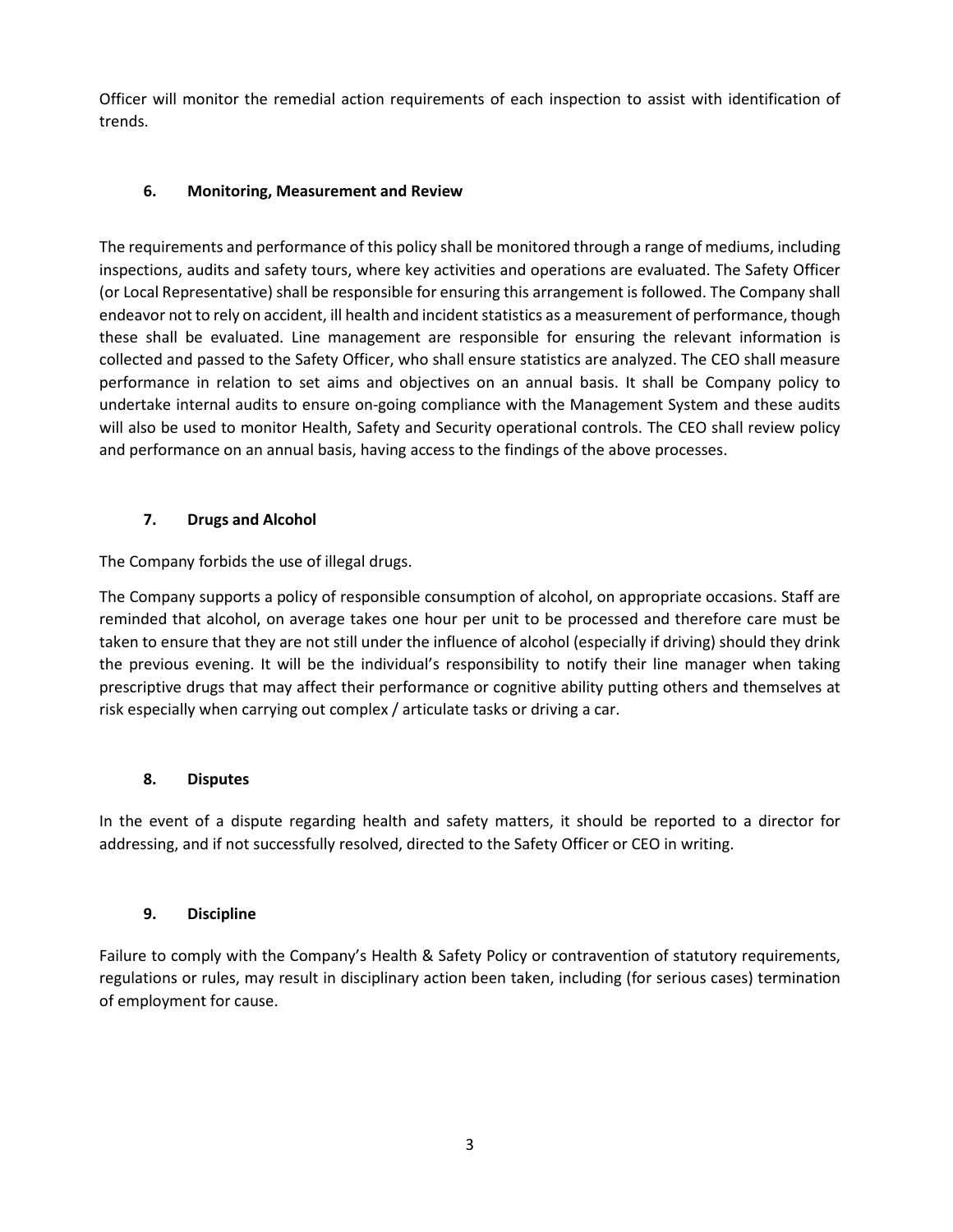Officer will monitor the remedial action requirements of each inspection to assist with identification of trends.

## **6. Monitoring, Measurement and Review**

The requirements and performance of this policy shall be monitored through a range of mediums, including inspections, audits and safety tours, where key activities and operations are evaluated. The Safety Officer (or Local Representative) shall be responsible for ensuring this arrangement is followed. The Company shall endeavor not to rely on accident, ill health and incident statistics as a measurement of performance, though these shall be evaluated. Line management are responsible for ensuring the relevant information is collected and passed to the Safety Officer, who shall ensure statistics are analyzed. The CEO shall measure performance in relation to set aims and objectives on an annual basis. It shall be Company policy to undertake internal audits to ensure on-going compliance with the Management System and these audits will also be used to monitor Health, Safety and Security operational controls. The CEO shall review policy and performance on an annual basis, having access to the findings of the above processes.

## **7. Drugs and Alcohol**

The Company forbids the use of illegal drugs.

The Company supports a policy of responsible consumption of alcohol, on appropriate occasions. Staff are reminded that alcohol, on average takes one hour per unit to be processed and therefore care must be taken to ensure that they are not still under the influence of alcohol (especially if driving) should they drink the previous evening. It will be the individual's responsibility to notify their line manager when taking prescriptive drugs that may affect their performance or cognitive ability putting others and themselves at risk especially when carrying out complex / articulate tasks or driving a car.

## **8. Disputes**

In the event of a dispute regarding health and safety matters, it should be reported to a director for addressing, and if not successfully resolved, directed to the Safety Officer or CEO in writing.

## **9. Discipline**

Failure to comply with the Company's Health & Safety Policy or contravention of statutory requirements, regulations or rules, may result in disciplinary action been taken, including (for serious cases) termination of employment for cause.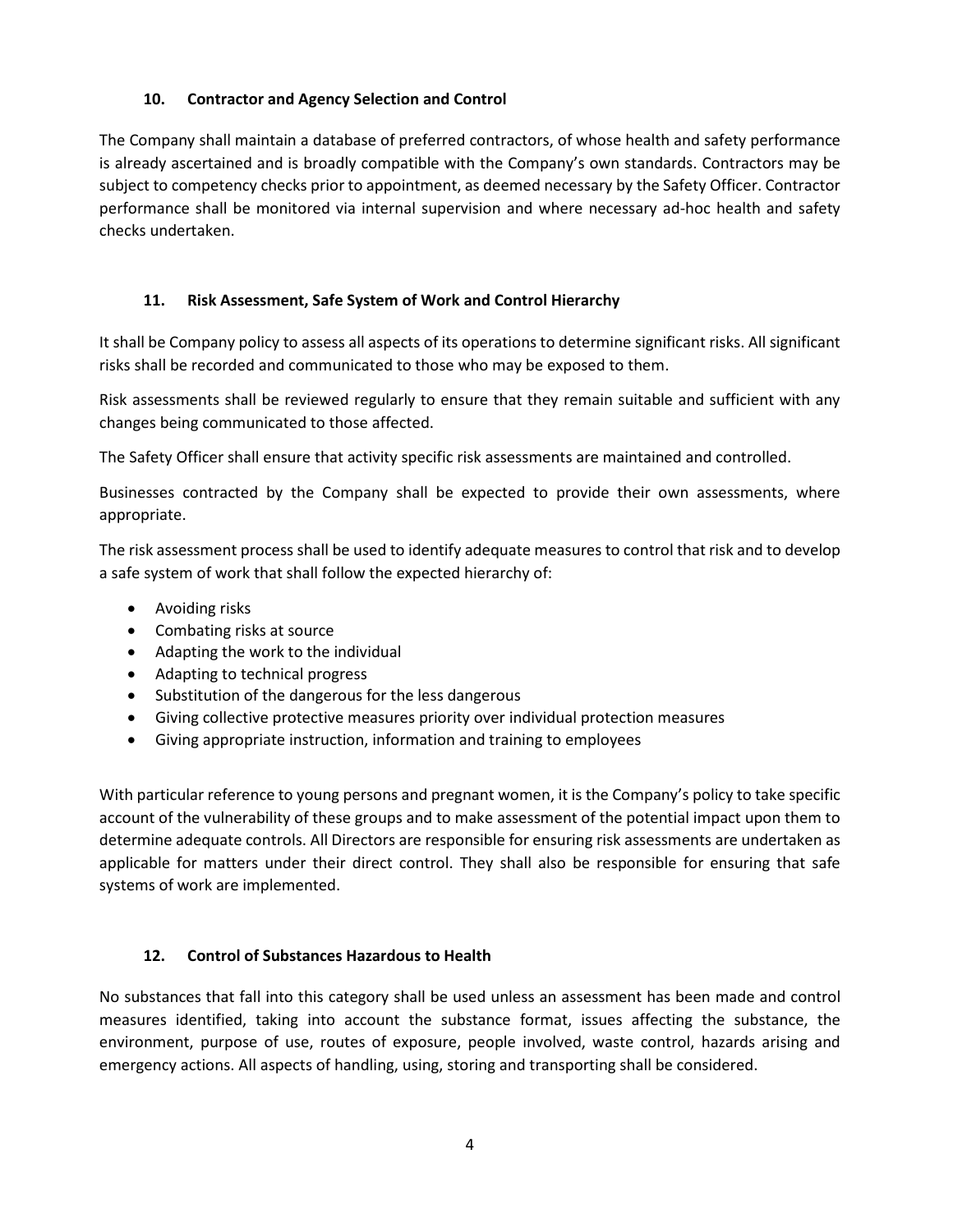### **10. Contractor and Agency Selection and Control**

The Company shall maintain a database of preferred contractors, of whose health and safety performance is already ascertained and is broadly compatible with the Company's own standards. Contractors may be subject to competency checks prior to appointment, as deemed necessary by the Safety Officer. Contractor performance shall be monitored via internal supervision and where necessary ad-hoc health and safety checks undertaken.

### **11. Risk Assessment, Safe System of Work and Control Hierarchy**

It shall be Company policy to assess all aspects of its operations to determine significant risks. All significant risks shall be recorded and communicated to those who may be exposed to them.

Risk assessments shall be reviewed regularly to ensure that they remain suitable and sufficient with any changes being communicated to those affected.

The Safety Officer shall ensure that activity specific risk assessments are maintained and controlled.

Businesses contracted by the Company shall be expected to provide their own assessments, where appropriate.

The risk assessment process shall be used to identify adequate measures to control that risk and to develop a safe system of work that shall follow the expected hierarchy of:

- Avoiding risks
- Combating risks at source
- Adapting the work to the individual
- Adapting to technical progress
- Substitution of the dangerous for the less dangerous
- Giving collective protective measures priority over individual protection measures
- Giving appropriate instruction, information and training to employees

With particular reference to young persons and pregnant women, it is the Company's policy to take specific account of the vulnerability of these groups and to make assessment of the potential impact upon them to determine adequate controls. All Directors are responsible for ensuring risk assessments are undertaken as applicable for matters under their direct control. They shall also be responsible for ensuring that safe systems of work are implemented.

#### **12. Control of Substances Hazardous to Health**

No substances that fall into this category shall be used unless an assessment has been made and control measures identified, taking into account the substance format, issues affecting the substance, the environment, purpose of use, routes of exposure, people involved, waste control, hazards arising and emergency actions. All aspects of handling, using, storing and transporting shall be considered.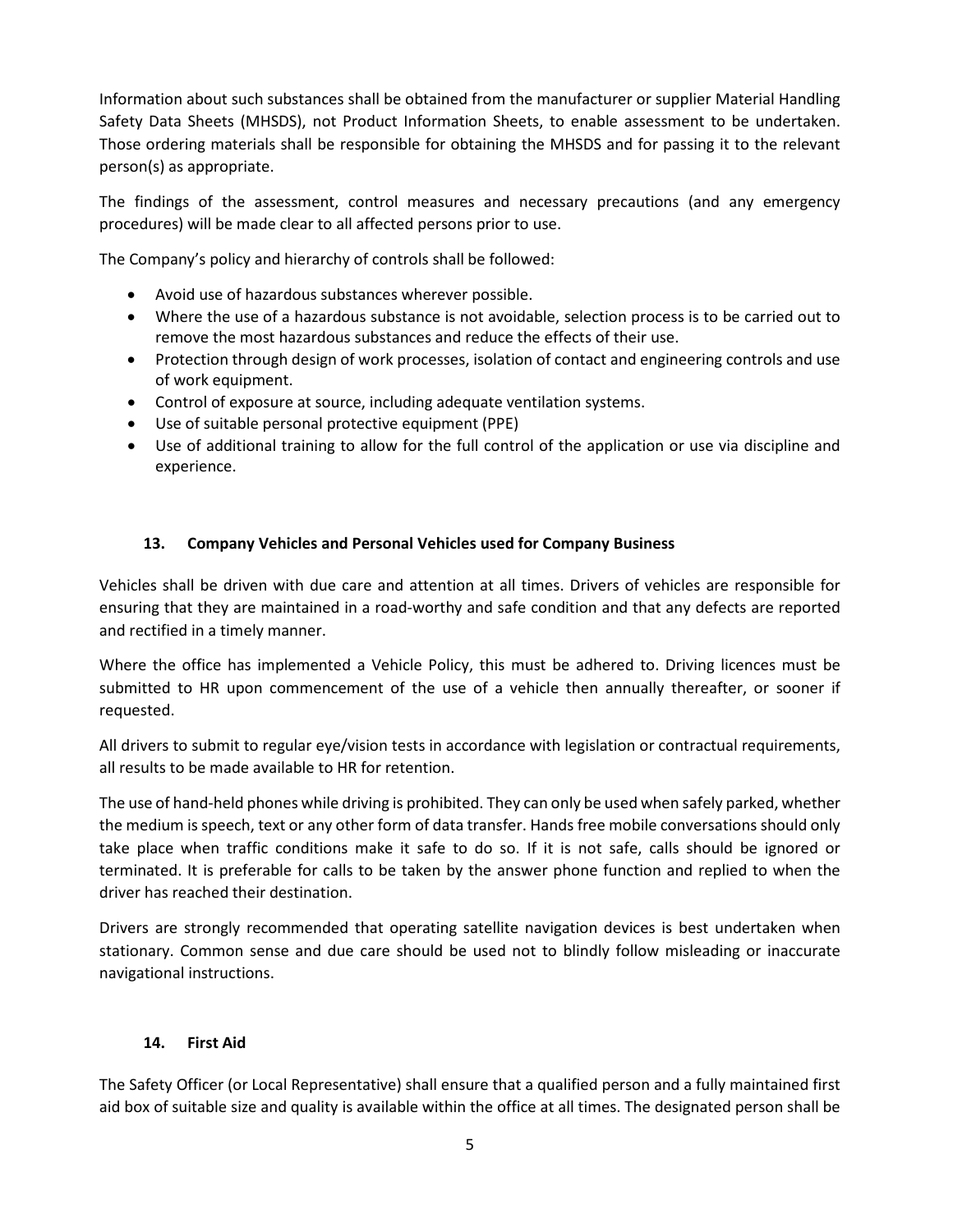Information about such substances shall be obtained from the manufacturer or supplier Material Handling Safety Data Sheets (MHSDS), not Product Information Sheets, to enable assessment to be undertaken. Those ordering materials shall be responsible for obtaining the MHSDS and for passing it to the relevant person(s) as appropriate.

The findings of the assessment, control measures and necessary precautions (and any emergency procedures) will be made clear to all affected persons prior to use.

The Company's policy and hierarchy of controls shall be followed:

- Avoid use of hazardous substances wherever possible.
- Where the use of a hazardous substance is not avoidable, selection process is to be carried out to remove the most hazardous substances and reduce the effects of their use.
- Protection through design of work processes, isolation of contact and engineering controls and use of work equipment.
- Control of exposure at source, including adequate ventilation systems.
- Use of suitable personal protective equipment (PPE)
- Use of additional training to allow for the full control of the application or use via discipline and experience.

### **13. Company Vehicles and Personal Vehicles used for Company Business**

Vehicles shall be driven with due care and attention at all times. Drivers of vehicles are responsible for ensuring that they are maintained in a road-worthy and safe condition and that any defects are reported and rectified in a timely manner.

Where the office has implemented a Vehicle Policy, this must be adhered to. Driving licences must be submitted to HR upon commencement of the use of a vehicle then annually thereafter, or sooner if requested.

All drivers to submit to regular eye/vision tests in accordance with legislation or contractual requirements, all results to be made available to HR for retention.

The use of hand-held phones while driving is prohibited. They can only be used when safely parked, whether the medium is speech, text or any other form of data transfer. Hands free mobile conversations should only take place when traffic conditions make it safe to do so. If it is not safe, calls should be ignored or terminated. It is preferable for calls to be taken by the answer phone function and replied to when the driver has reached their destination.

Drivers are strongly recommended that operating satellite navigation devices is best undertaken when stationary. Common sense and due care should be used not to blindly follow misleading or inaccurate navigational instructions.

#### **14. First Aid**

The Safety Officer (or Local Representative) shall ensure that a qualified person and a fully maintained first aid box of suitable size and quality is available within the office at all times. The designated person shall be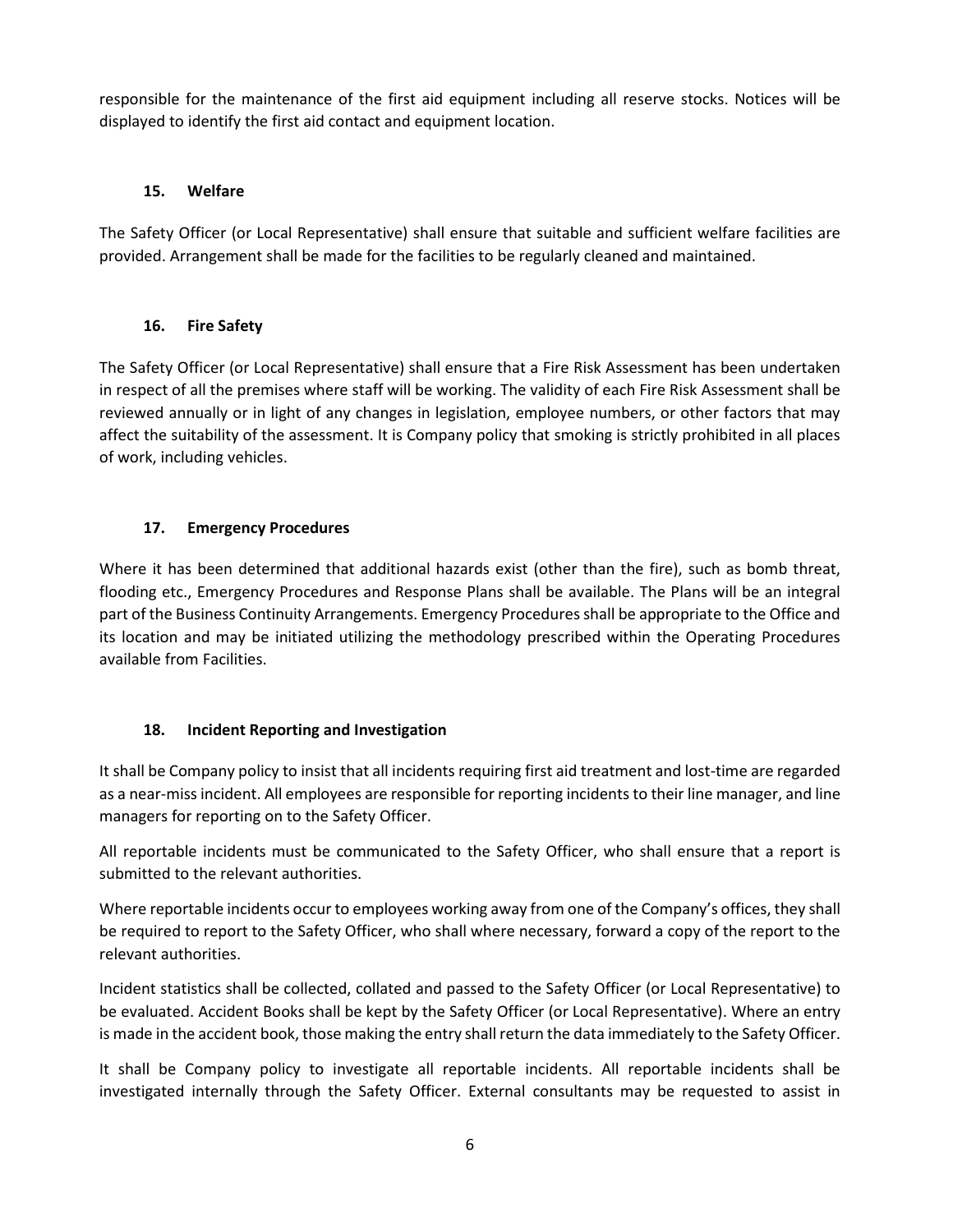responsible for the maintenance of the first aid equipment including all reserve stocks. Notices will be displayed to identify the first aid contact and equipment location.

## **15. Welfare**

The Safety Officer (or Local Representative) shall ensure that suitable and sufficient welfare facilities are provided. Arrangement shall be made for the facilities to be regularly cleaned and maintained.

# **16. Fire Safety**

The Safety Officer (or Local Representative) shall ensure that a Fire Risk Assessment has been undertaken in respect of all the premises where staff will be working. The validity of each Fire Risk Assessment shall be reviewed annually or in light of any changes in legislation, employee numbers, or other factors that may affect the suitability of the assessment. It is Company policy that smoking is strictly prohibited in all places of work, including vehicles.

## **17. Emergency Procedures**

Where it has been determined that additional hazards exist (other than the fire), such as bomb threat, flooding etc., Emergency Procedures and Response Plans shall be available. The Plans will be an integral part of the Business Continuity Arrangements. Emergency Procedures shall be appropriate to the Office and its location and may be initiated utilizing the methodology prescribed within the Operating Procedures available from Facilities.

# **18. Incident Reporting and Investigation**

It shall be Company policy to insist that all incidents requiring first aid treatment and lost-time are regarded as a near-miss incident. All employees are responsible for reporting incidents to their line manager, and line managers for reporting on to the Safety Officer.

All reportable incidents must be communicated to the Safety Officer, who shall ensure that a report is submitted to the relevant authorities.

Where reportable incidents occur to employees working away from one of the Company's offices, they shall be required to report to the Safety Officer, who shall where necessary, forward a copy of the report to the relevant authorities.

Incident statistics shall be collected, collated and passed to the Safety Officer (or Local Representative) to be evaluated. Accident Books shall be kept by the Safety Officer (or Local Representative). Where an entry is made in the accident book, those making the entry shall return the data immediately to the Safety Officer.

It shall be Company policy to investigate all reportable incidents. All reportable incidents shall be investigated internally through the Safety Officer. External consultants may be requested to assist in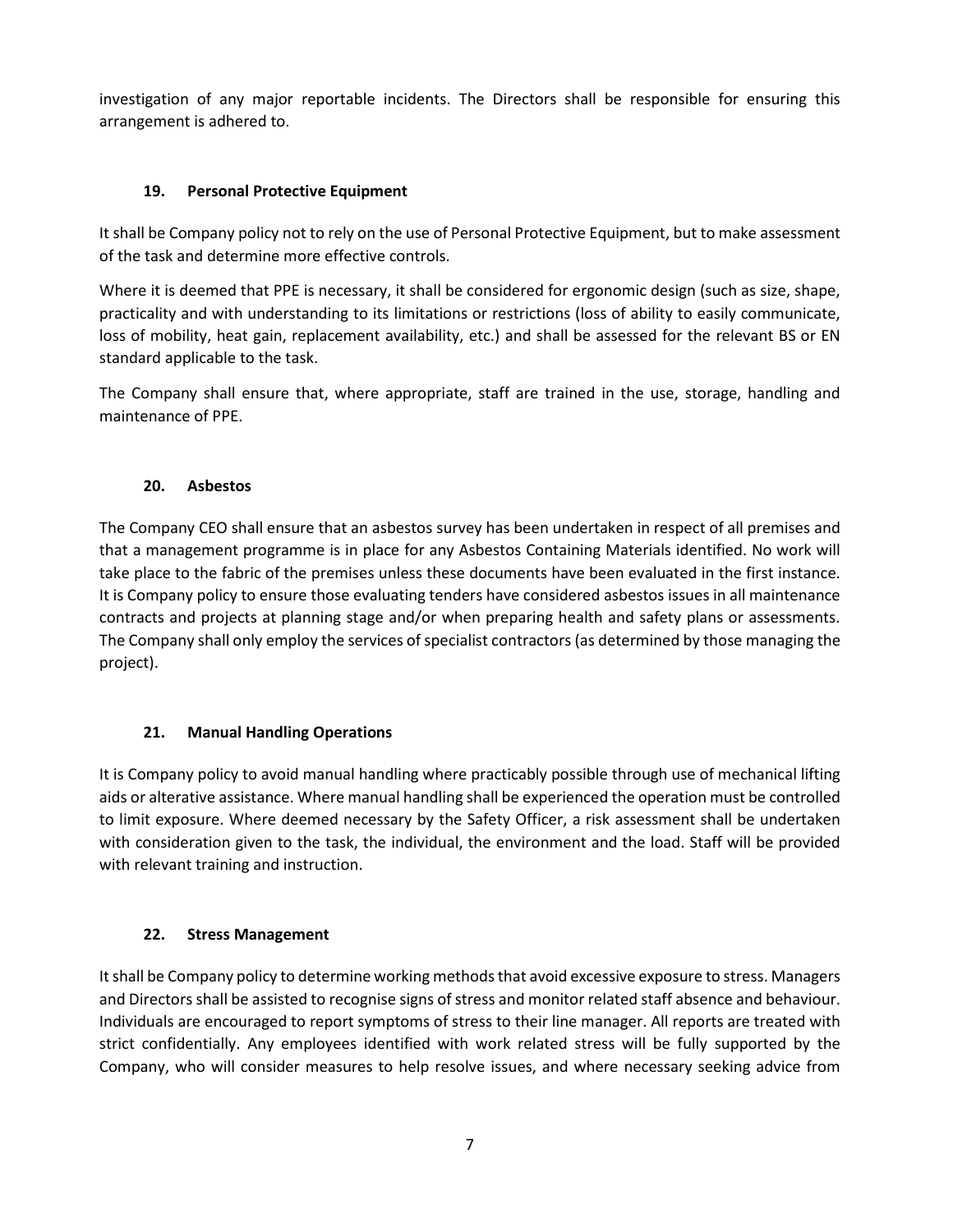investigation of any major reportable incidents. The Directors shall be responsible for ensuring this arrangement is adhered to.

## **19. Personal Protective Equipment**

It shall be Company policy not to rely on the use of Personal Protective Equipment, but to make assessment of the task and determine more effective controls.

Where it is deemed that PPE is necessary, it shall be considered for ergonomic design (such as size, shape, practicality and with understanding to its limitations or restrictions (loss of ability to easily communicate, loss of mobility, heat gain, replacement availability, etc.) and shall be assessed for the relevant BS or EN standard applicable to the task.

The Company shall ensure that, where appropriate, staff are trained in the use, storage, handling and maintenance of PPE.

## **20. Asbestos**

The Company CEO shall ensure that an asbestos survey has been undertaken in respect of all premises and that a management programme is in place for any Asbestos Containing Materials identified. No work will take place to the fabric of the premises unless these documents have been evaluated in the first instance. It is Company policy to ensure those evaluating tenders have considered asbestos issues in all maintenance contracts and projects at planning stage and/or when preparing health and safety plans or assessments. The Company shall only employ the services of specialist contractors (as determined by those managing the project).

# **21. Manual Handling Operations**

It is Company policy to avoid manual handling where practicably possible through use of mechanical lifting aids or alterative assistance. Where manual handling shall be experienced the operation must be controlled to limit exposure. Where deemed necessary by the Safety Officer, a risk assessment shall be undertaken with consideration given to the task, the individual, the environment and the load. Staff will be provided with relevant training and instruction.

## **22. Stress Management**

It shall be Company policy to determine working methods that avoid excessive exposure to stress. Managers and Directors shall be assisted to recognise signs of stress and monitor related staff absence and behaviour. Individuals are encouraged to report symptoms of stress to their line manager. All reports are treated with strict confidentially. Any employees identified with work related stress will be fully supported by the Company, who will consider measures to help resolve issues, and where necessary seeking advice from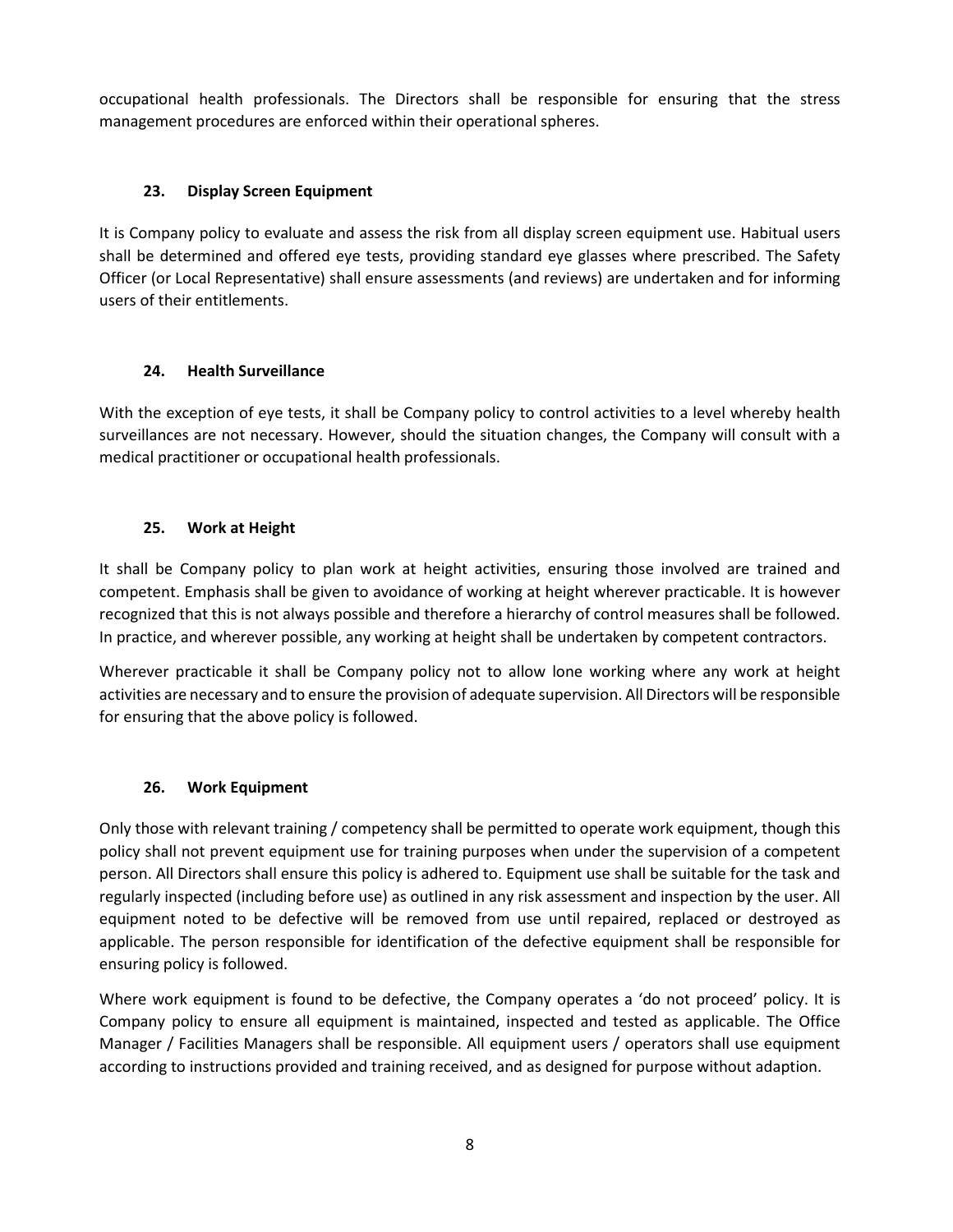occupational health professionals. The Directors shall be responsible for ensuring that the stress management procedures are enforced within their operational spheres.

## **23. Display Screen Equipment**

It is Company policy to evaluate and assess the risk from all display screen equipment use. Habitual users shall be determined and offered eye tests, providing standard eye glasses where prescribed. The Safety Officer (or Local Representative) shall ensure assessments (and reviews) are undertaken and for informing users of their entitlements.

# **24. Health Surveillance**

With the exception of eye tests, it shall be Company policy to control activities to a level whereby health surveillances are not necessary. However, should the situation changes, the Company will consult with a medical practitioner or occupational health professionals.

# **25. Work at Height**

It shall be Company policy to plan work at height activities, ensuring those involved are trained and competent. Emphasis shall be given to avoidance of working at height wherever practicable. It is however recognized that this is not always possible and therefore a hierarchy of control measures shall be followed. In practice, and wherever possible, any working at height shall be undertaken by competent contractors.

Wherever practicable it shall be Company policy not to allow lone working where any work at height activities are necessary and to ensure the provision of adequate supervision. All Directors will be responsible for ensuring that the above policy is followed.

# **26. Work Equipment**

Only those with relevant training / competency shall be permitted to operate work equipment, though this policy shall not prevent equipment use for training purposes when under the supervision of a competent person. All Directors shall ensure this policy is adhered to. Equipment use shall be suitable for the task and regularly inspected (including before use) as outlined in any risk assessment and inspection by the user. All equipment noted to be defective will be removed from use until repaired, replaced or destroyed as applicable. The person responsible for identification of the defective equipment shall be responsible for ensuring policy is followed.

Where work equipment is found to be defective, the Company operates a 'do not proceed' policy. It is Company policy to ensure all equipment is maintained, inspected and tested as applicable. The Office Manager / Facilities Managers shall be responsible. All equipment users / operators shall use equipment according to instructions provided and training received, and as designed for purpose without adaption.